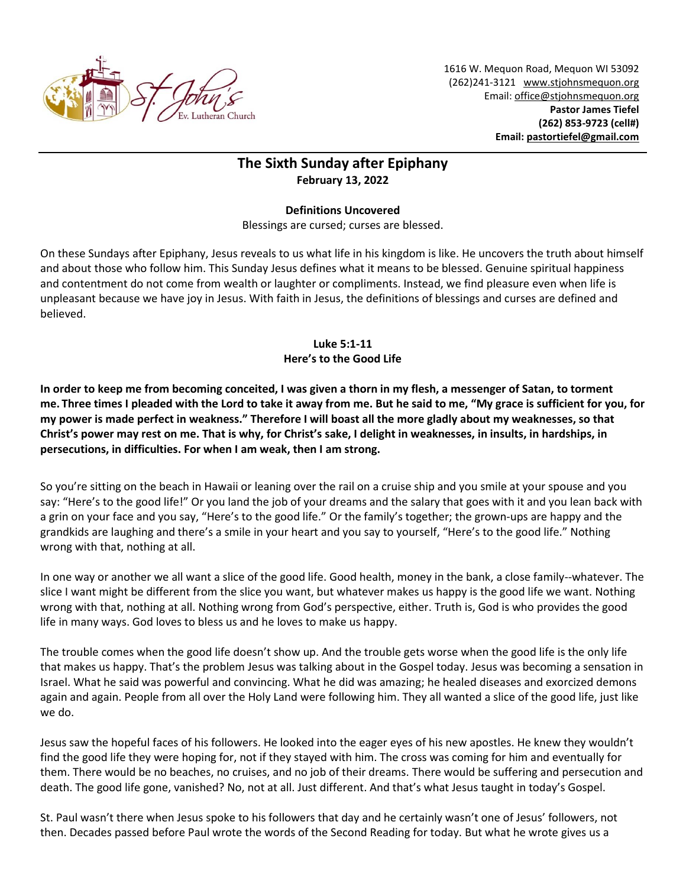

1616 W. Mequon Road, Mequon WI 53092 (262)241-3121 [www.stjohnsmequon.org](http://www.stjohnsmequon.org/) Email[: office@stjohnsmequon.org](mailto:office@stjohnsmequon.org) **Pastor James Tiefel (262) 853-9723 (cell#) Email: [pastortiefel@gmail.com](mailto:pastortiefel@gmail.com)**

## **The Sixth Sunday after Epiphany February 13, 2022**

## **Definitions Uncovered**

Blessings are cursed; curses are blessed.

On these Sundays after Epiphany, Jesus reveals to us what life in his kingdom is like. He uncovers the truth about himself and about those who follow him. This Sunday Jesus defines what it means to be blessed. Genuine spiritual happiness and contentment do not come from wealth or laughter or compliments. Instead, we find pleasure even when life is unpleasant because we have joy in Jesus. With faith in Jesus, the definitions of blessings and curses are defined and believed.

## **Luke 5:1-11 Here's to the Good Life**

**In order to keep me from becoming conceited, I was given a thorn in my flesh, a messenger of Satan, to torment me. Three times I pleaded with the Lord to take it away from me. But he said to me, "My grace is sufficient for you, for my power is made perfect in weakness." Therefore I will boast all the more gladly about my weaknesses, so that Christ's power may rest on me. That is why, for Christ's sake, I delight in weaknesses, in insults, in hardships, in persecutions, in difficulties. For when I am weak, then I am strong.**

So you're sitting on the beach in Hawaii or leaning over the rail on a cruise ship and you smile at your spouse and you say: "Here's to the good life!" Or you land the job of your dreams and the salary that goes with it and you lean back with a grin on your face and you say, "Here's to the good life." Or the family's together; the grown-ups are happy and the grandkids are laughing and there's a smile in your heart and you say to yourself, "Here's to the good life." Nothing wrong with that, nothing at all.

In one way or another we all want a slice of the good life. Good health, money in the bank, a close family--whatever. The slice I want might be different from the slice you want, but whatever makes us happy is the good life we want. Nothing wrong with that, nothing at all. Nothing wrong from God's perspective, either. Truth is, God is who provides the good life in many ways. God loves to bless us and he loves to make us happy.

The trouble comes when the good life doesn't show up. And the trouble gets worse when the good life is the only life that makes us happy. That's the problem Jesus was talking about in the Gospel today. Jesus was becoming a sensation in Israel. What he said was powerful and convincing. What he did was amazing; he healed diseases and exorcized demons again and again. People from all over the Holy Land were following him. They all wanted a slice of the good life, just like we do.

Jesus saw the hopeful faces of his followers. He looked into the eager eyes of his new apostles. He knew they wouldn't find the good life they were hoping for, not if they stayed with him. The cross was coming for him and eventually for them. There would be no beaches, no cruises, and no job of their dreams. There would be suffering and persecution and death. The good life gone, vanished? No, not at all. Just different. And that's what Jesus taught in today's Gospel.

St. Paul wasn't there when Jesus spoke to his followers that day and he certainly wasn't one of Jesus' followers, not then. Decades passed before Paul wrote the words of the Second Reading for today. But what he wrote gives us a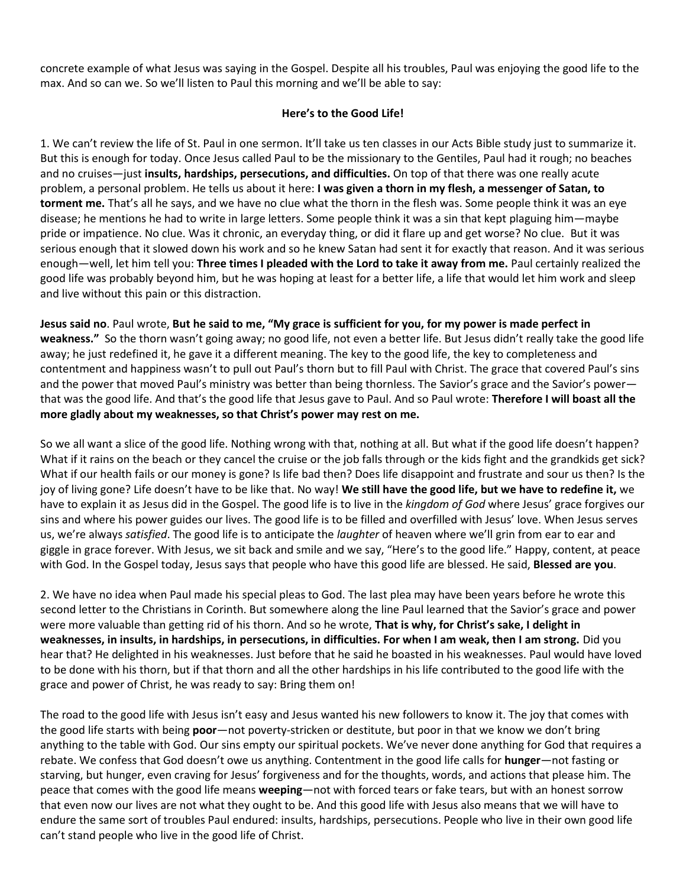concrete example of what Jesus was saying in the Gospel. Despite all his troubles, Paul was enjoying the good life to the max. And so can we. So we'll listen to Paul this morning and we'll be able to say:

## **Here's to the Good Life!**

1. We can't review the life of St. Paul in one sermon. It'll take us ten classes in our Acts Bible study just to summarize it. But this is enough for today. Once Jesus called Paul to be the missionary to the Gentiles, Paul had it rough; no beaches and no cruises—just **insults, hardships, persecutions, and difficulties.** On top of that there was one really acute problem, a personal problem. He tells us about it here: **I was given a thorn in my flesh, a messenger of Satan, to torment me.** That's all he says, and we have no clue what the thorn in the flesh was. Some people think it was an eye disease; he mentions he had to write in large letters. Some people think it was a sin that kept plaguing him—maybe pride or impatience. No clue. Was it chronic, an everyday thing, or did it flare up and get worse? No clue. But it was serious enough that it slowed down his work and so he knew Satan had sent it for exactly that reason. And it was serious enough—well, let him tell you: **Three times I pleaded with the Lord to take it away from me.** Paul certainly realized the good life was probably beyond him, but he was hoping at least for a better life, a life that would let him work and sleep and live without this pain or this distraction.

**Jesus said no**. Paul wrote, **But he said to me, "My grace is sufficient for you, for my power is made perfect in weakness."** So the thorn wasn't going away; no good life, not even a better life. But Jesus didn't really take the good life away; he just redefined it, he gave it a different meaning. The key to the good life, the key to completeness and contentment and happiness wasn't to pull out Paul's thorn but to fill Paul with Christ. The grace that covered Paul's sins and the power that moved Paul's ministry was better than being thornless. The Savior's grace and the Savior's power that was the good life. And that's the good life that Jesus gave to Paul. And so Paul wrote: **Therefore I will boast all the more gladly about my weaknesses, so that Christ's power may rest on me.** 

So we all want a slice of the good life. Nothing wrong with that, nothing at all. But what if the good life doesn't happen? What if it rains on the beach or they cancel the cruise or the job falls through or the kids fight and the grandkids get sick? What if our health fails or our money is gone? Is life bad then? Does life disappoint and frustrate and sour us then? Is the joy of living gone? Life doesn't have to be like that. No way! **We still have the good life, but we have to redefine it,** we have to explain it as Jesus did in the Gospel. The good life is to live in the *kingdom of God* where Jesus' grace forgives our sins and where his power guides our lives. The good life is to be filled and overfilled with Jesus' love. When Jesus serves us, we're always *satisfied*. The good life is to anticipate the *laughter* of heaven where we'll grin from ear to ear and giggle in grace forever. With Jesus, we sit back and smile and we say, "Here's to the good life." Happy, content, at peace with God. In the Gospel today, Jesus says that people who have this good life are blessed. He said, **Blessed are you**.

2. We have no idea when Paul made his special pleas to God. The last plea may have been years before he wrote this second letter to the Christians in Corinth. But somewhere along the line Paul learned that the Savior's grace and power were more valuable than getting rid of his thorn. And so he wrote, **That is why, for Christ's sake, I delight in weaknesses, in insults, in hardships, in persecutions, in difficulties. For when I am weak, then I am strong.** Did you hear that? He delighted in his weaknesses. Just before that he said he boasted in his weaknesses. Paul would have loved to be done with his thorn, but if that thorn and all the other hardships in his life contributed to the good life with the grace and power of Christ, he was ready to say: Bring them on!

The road to the good life with Jesus isn't easy and Jesus wanted his new followers to know it. The joy that comes with the good life starts with being **poor**—not poverty-stricken or destitute, but poor in that we know we don't bring anything to the table with God. Our sins empty our spiritual pockets. We've never done anything for God that requires a rebate. We confess that God doesn't owe us anything. Contentment in the good life calls for **hunger**—not fasting or starving, but hunger, even craving for Jesus' forgiveness and for the thoughts, words, and actions that please him. The peace that comes with the good life means **weeping**—not with forced tears or fake tears, but with an honest sorrow that even now our lives are not what they ought to be. And this good life with Jesus also means that we will have to endure the same sort of troubles Paul endured: insults, hardships, persecutions. People who live in their own good life can't stand people who live in the good life of Christ.